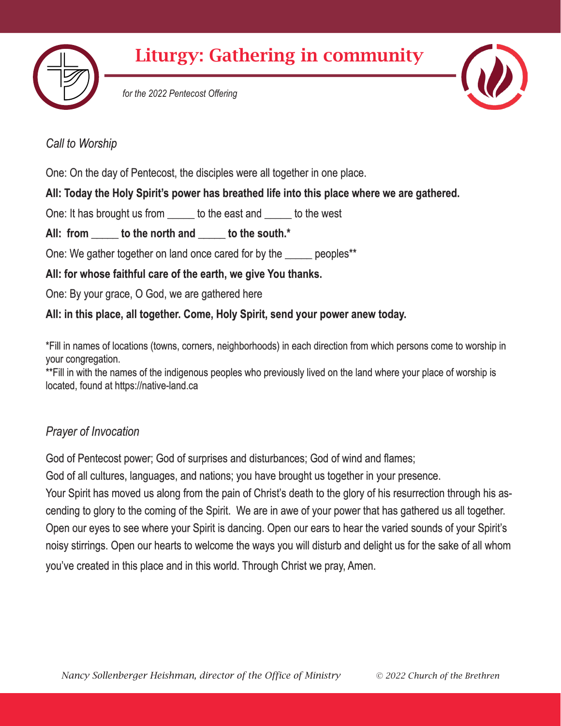



*for the 2022 Pentecost Offering*



# *Call to Worship*

One: On the day of Pentecost, the disciples were all together in one place.

**All: Today the Holy Spirit's power has breathed life into this place where we are gathered.**

One: It has brought us from to the east and to the west

All: from to the north and to the south.<sup>\*</sup>

One: We gather together on land once cared for by the \_\_\_\_\_ peoples\*\*

**All: for whose faithful care of the earth, we give You thanks.**

One: By your grace, O God, we are gathered here

**All: in this place, all together. Come, Holy Spirit, send your power anew today.**

\*Fill in names of locations (towns, corners, neighborhoods) in each direction from which persons come to worship in your congregation.

\*\*Fill in with the names of the indigenous peoples who previously lived on the land where your place of worship is located, found at https://native-land.ca

# *Prayer of Invocation*

God of Pentecost power; God of surprises and disturbances; God of wind and flames;

God of all cultures, languages, and nations; you have brought us together in your presence.

Your Spirit has moved us along from the pain of Christ's death to the glory of his resurrection through his ascending to glory to the coming of the Spirit. We are in awe of your power that has gathered us all together. Open our eyes to see where your Spirit is dancing. Open our ears to hear the varied sounds of your Spirit's noisy stirrings. Open our hearts to welcome the ways you will disturb and delight us for the sake of all whom you've created in this place and in this world. Through Christ we pray, Amen.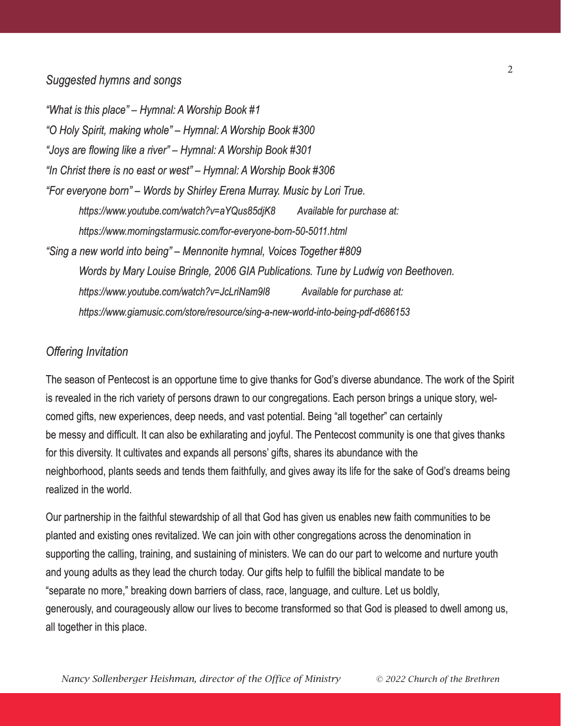### *Suggested hymns and songs*

*"What is this place" – Hymnal: A Worship Book #1 "O Holy Spirit, making whole" – Hymnal: A Worship Book #300 "Joys are flowing like a river" – Hymnal: A Worship Book #301 "In Christ there is no east or west" – Hymnal: A Worship Book #306 "For everyone born" – Words by Shirley Erena Murray. Music by Lori True. https://www.youtube.com/watch?v=aYQus85djK8 Available for purchase at: https://www.morningstarmusic.com/for-everyone-born-50-5011.html "Sing a new world into being" – Mennonite hymnal, Voices Together #809 Words by Mary Louise Bringle, 2006 GIA Publications. Tune by Ludwig von Beethoven. https://www.youtube.com/watch?v=JcLriNam9l8 Available for purchase at: https://www.giamusic.com/store/resource/sing-a-new-world-into-being-pdf-d686153*

#### *Offering Invitation*

The season of Pentecost is an opportune time to give thanks for God's diverse abundance. The work of the Spirit is revealed in the rich variety of persons drawn to our congregations. Each person brings a unique story, welcomed gifts, new experiences, deep needs, and vast potential. Being "all together" can certainly be messy and difficult. It can also be exhilarating and joyful. The Pentecost community is one that gives thanks for this diversity. It cultivates and expands all persons' gifts, shares its abundance with the neighborhood, plants seeds and tends them faithfully, and gives away its life for the sake of God's dreams being realized in the world.

Our partnership in the faithful stewardship of all that God has given us enables new faith communities to be planted and existing ones revitalized. We can join with other congregations across the denomination in supporting the calling, training, and sustaining of ministers. We can do our part to welcome and nurture youth and young adults as they lead the church today. Our gifts help to fulfill the biblical mandate to be "separate no more," breaking down barriers of class, race, language, and culture. Let us boldly, generously, and courageously allow our lives to become transformed so that God is pleased to dwell among us, all together in this place.